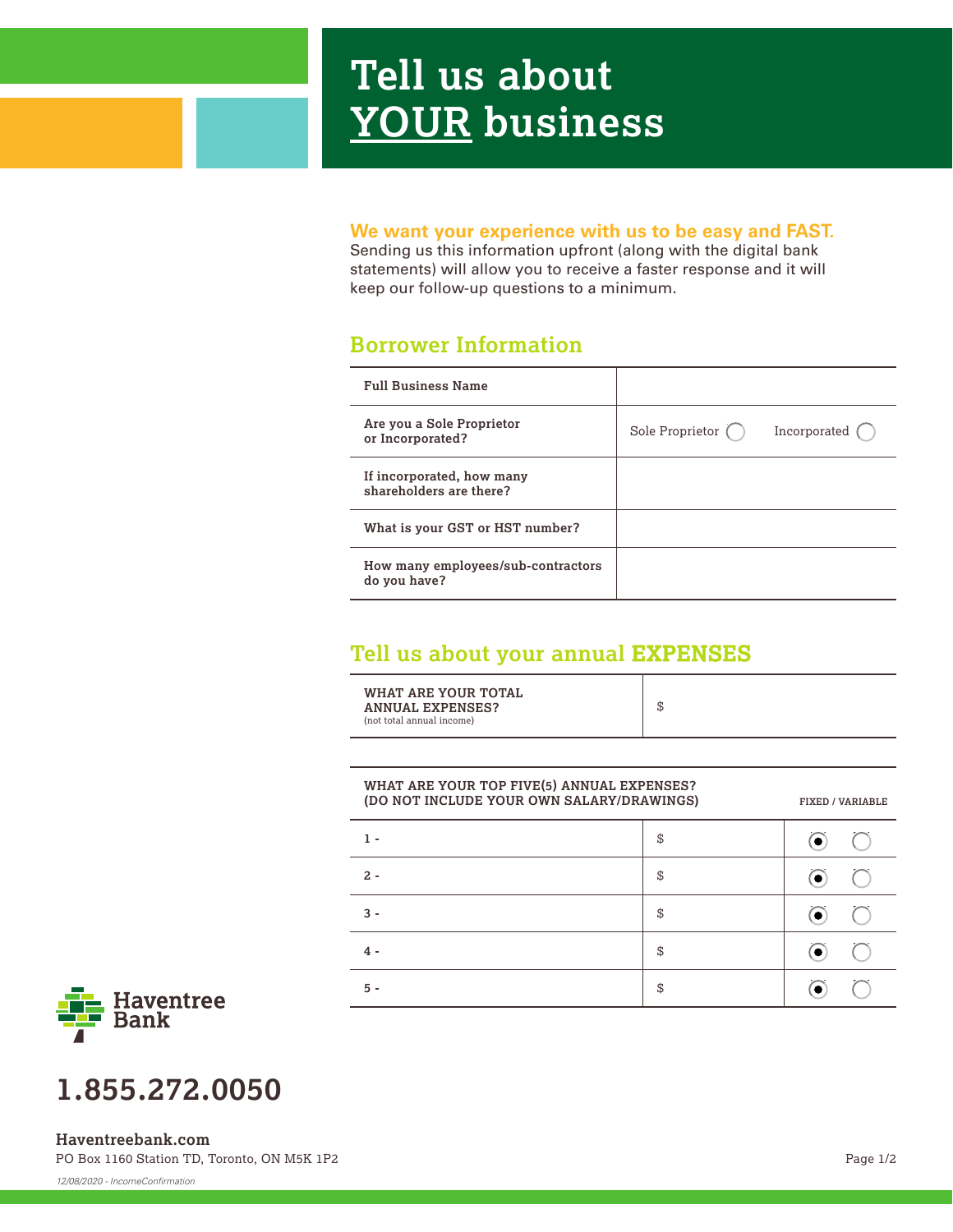# **Tell us about YOUR business**

#### **We want your experience with us to be easy and FAST.**

Sending us this information upfront (along with the digital bank statements) will allow you to receive a faster response and it will keep our follow-up questions to a minimum.

### **Borrower Information**

| <b>Full Business Name</b>                            |                           |              |
|------------------------------------------------------|---------------------------|--------------|
| Are you a Sole Proprietor<br>or Incorporated?        | Sole Proprietor $\bigcap$ | Incorporated |
| If incorporated, how many<br>shareholders are there? |                           |              |
| What is your GST or HST number?                      |                           |              |
| How many employees/sub-contractors<br>do you have?   |                           |              |

## **Tell us about your annual EXPENSES**

| WHAT ARE YOUR TOTAL<br><b>ANNUAL EXPENSES?</b><br>(not total annual income) | \$ |
|-----------------------------------------------------------------------------|----|
|-----------------------------------------------------------------------------|----|

| (DO NOT INCLUDE YOUR OWN SALARY/DRAWINGS) |    | <b>FIXED / VARIABLE</b> |
|-------------------------------------------|----|-------------------------|
| 1 -                                       | S  |                         |
| $2 -$                                     | \$ | $\bullet$               |
| 3 -                                       | \$ |                         |
| 4 -                                       | \$ |                         |
| Б.                                        | \$ |                         |



## **1.855.272.0050**

PO Box 1160 Station TD, Toronto, ON M5K 1P2 **Haventreebank.com**